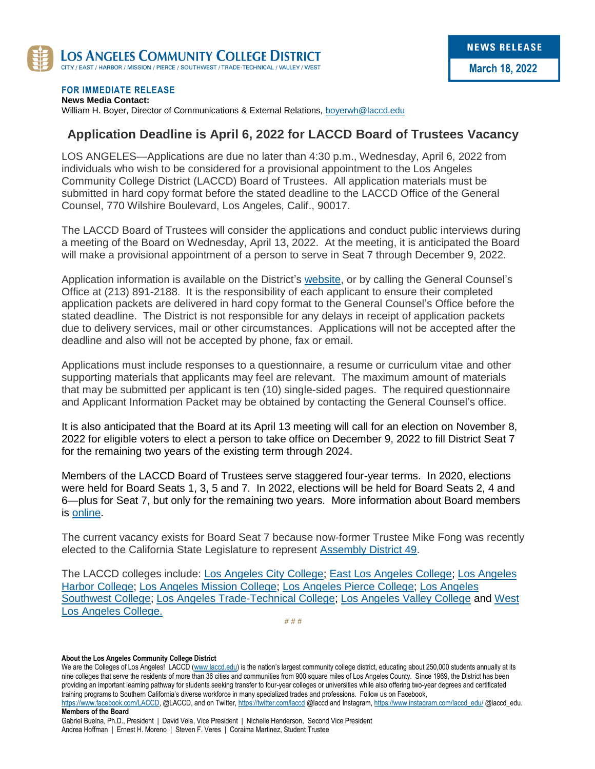

#### **FOR IMMEDIATE RELEASE**

**News Media Contact:** William H. Boyer, Director of Communications & External Relations, [boyerwh@laccd.edu](mailto:boyerwh@laccd.edu)

#### **Application Deadline is April 6, 2022 for LACCD Board of Trustees Vacancy**

LOS ANGELES—Applications are due no later than 4:30 p.m., Wednesday, April 6, 2022 from individuals who wish to be considered for a provisional appointment to the Los Angeles Community College District (LACCD) Board of Trustees. All application materials must be submitted in hard copy format before the stated deadline to the LACCD Office of the General Counsel, 770 Wilshire Boulevard, Los Angeles, Calif., 90017.

The LACCD Board of Trustees will consider the applications and conduct public interviews during a meeting of the Board on Wednesday, April 13, 2022. At the meeting, it is anticipated the Board will make a provisional appointment of a person to serve in Seat 7 through December 9, 2022.

Application information is available on the District's [website,](https://www.laccd.edu/Board/boardsearch/Documents/TrusteeVacancy_ApplicantAnnouncement_InformationPacket.pdf) or by calling the General Counsel's Office at (213) 891-2188. It is the responsibility of each applicant to ensure their completed application packets are delivered in hard copy format to the General Counsel's Office before the stated deadline. The District is not responsible for any delays in receipt of application packets due to delivery services, mail or other circumstances. Applications will not be accepted after the deadline and also will not be accepted by phone, fax or email.

Applications must include responses to a questionnaire, a resume or curriculum vitae and other supporting materials that applicants may feel are relevant. The maximum amount of materials that may be submitted per applicant is ten (10) single-sided pages. The required questionnaire and Applicant Information Packet may be obtained by contacting the General Counsel's office.

It is also anticipated that the Board at its April 13 meeting will call for an election on November 8, 2022 for eligible voters to elect a person to take office on December 9, 2022 to fill District Seat 7 for the remaining two years of the existing term through 2024.

Members of the LACCD Board of Trustees serve staggered four-year terms. In 2020, elections were held for Board Seats 1, 3, 5 and 7. In 2022, elections will be held for Board Seats 2, 4 and 6—plus for Seat 7, but only for the remaining two years. More information about Board members is [online.](https://www.laccd.edu/Board/Pages/default.aspx)

The current vacancy exists for Board Seat 7 because now-former Trustee Mike Fong was recently elected to the California State Legislature to represent [Assembly District 49.](https://a49.asmdc.org/)

The LACCD colleges include: [Los Angeles City College;](https://www.lacitycollege.edu/) [East Los Angeles College;](https://www.elac.edu/) [Los Angeles](https://www.lahc.edu/)  [Harbor College;](https://www.lahc.edu/) [Los Angeles Mission College;](http://www.lamission.edu/) [Los Angeles Pierce College;](http://www.piercecollege.edu/) [Los Angeles](https://www.lasc.edu/)  [Southwest College;](https://www.lasc.edu/) [Los Angeles Trade-Technical College;](http://www.lattc.edu/) [Los Angeles Valley College](https://www.lavc.edu/) and [West](http://www.wlac.edu/)  [Los Angeles College.](http://www.wlac.edu/)

**# # #**

#### **About the Los Angeles Community College District**

We are the Colleges of Los Angeles! LACCD [\(www.laccd.edu](http://www.laccd.edu/)) is the nation's largest community college district, educating about 250,000 students annually at its nine colleges that serve the residents of more than 36 cities and communities from 900 square miles of Los Angeles County. Since 1969, the District has been providing an important learning pathway for students seeking transfer to four-year colleges or universities while also offering two-year degrees and certificated training programs to Southern California's diverse workforce in many specialized trades and professions. Follow us on Facebook, [https://www.facebook.com/LACCD,](https://www.facebook.com/LACCD) @LACCD, and on Twitter[, https://twitter.com/laccd](https://twitter.com/laccd) @laccd and Instagram[, https://www.instagram.com/laccd\\_edu/](https://www.instagram.com/laccd_edu/) @laccd\_edu.

**Members of the Board**

Gabriel Buelna, Ph.D., President | David Vela, Vice President | Nichelle Henderson, Second Vice President Andrea Hoffman | Ernest H. Moreno | Steven F. Veres | Coraima Martinez, Student Trustee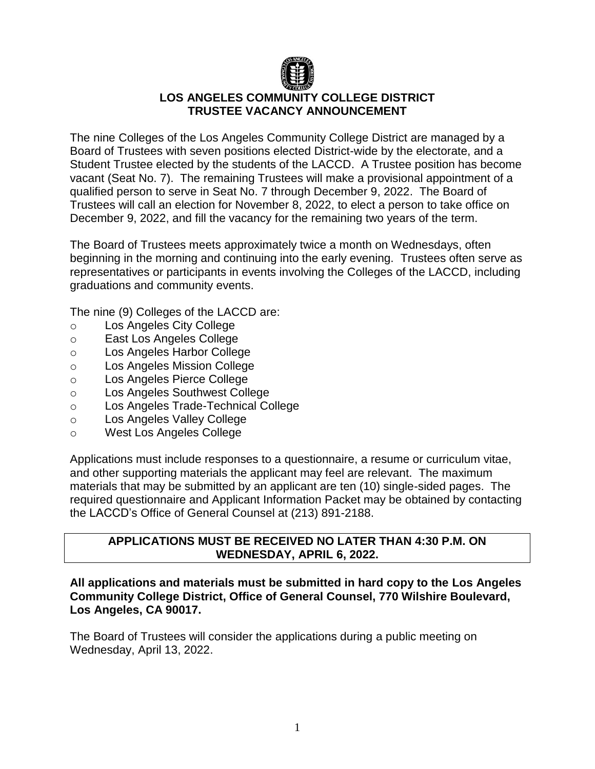

# **LOS ANGELES COMMUNITY COLLEGE DISTRICT TRUSTEE VACANCY ANNOUNCEMENT**

The nine Colleges of the Los Angeles Community College District are managed by a Board of Trustees with seven positions elected District-wide by the electorate, and a Student Trustee elected by the students of the LACCD. A Trustee position has become vacant (Seat No. 7). The remaining Trustees will make a provisional appointment of a qualified person to serve in Seat No. 7 through December 9, 2022. The Board of Trustees will call an election for November 8, 2022, to elect a person to take office on December 9, 2022, and fill the vacancy for the remaining two years of the term.

The Board of Trustees meets approximately twice a month on Wednesdays, often beginning in the morning and continuing into the early evening. Trustees often serve as representatives or participants in events involving the Colleges of the LACCD, including graduations and community events.

The nine (9) Colleges of the LACCD are:

- o Los Angeles City College
- o East Los Angeles College
- o Los Angeles Harbor College
- o Los Angeles Mission College
- o Los Angeles Pierce College
- o Los Angeles Southwest College
- o Los Angeles Trade-Technical College
- o Los Angeles Valley College
- o West Los Angeles College

Applications must include responses to a questionnaire, a resume or curriculum vitae, and other supporting materials the applicant may feel are relevant. The maximum materials that may be submitted by an applicant are ten (10) single-sided pages. The required questionnaire and Applicant Information Packet may be obtained by contacting the LACCD's Office of General Counsel at (213) 891-2188.

## **APPLICATIONS MUST BE RECEIVED NO LATER THAN 4:30 P.M. ON WEDNESDAY, APRIL 6, 2022.**

#### **All applications and materials must be submitted in hard copy to the Los Angeles Community College District, Office of General Counsel, 770 Wilshire Boulevard, Los Angeles, CA 90017.**

The Board of Trustees will consider the applications during a public meeting on Wednesday, April 13, 2022.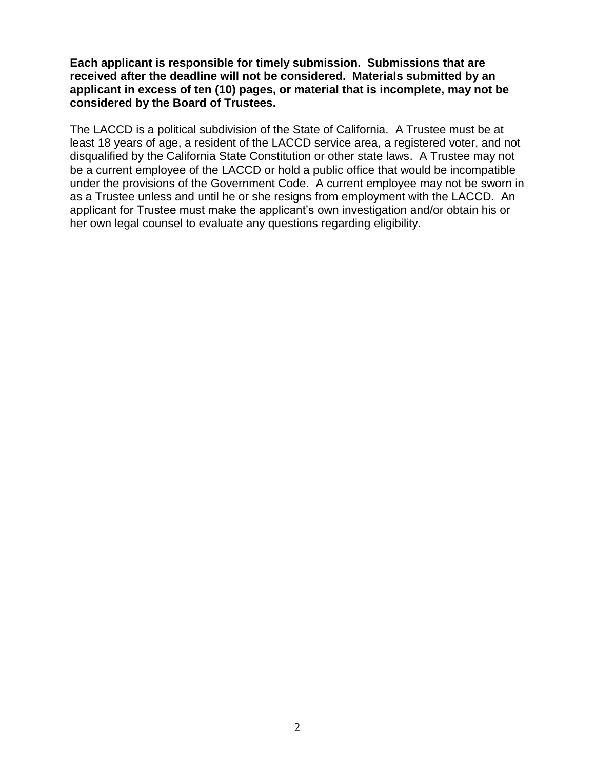**Each applicant is responsible for timely submission. Submissions that are received after the deadline will not be considered. Materials submitted by an applicant in excess of ten (10) pages, or material that is incomplete, may not be considered by the Board of Trustees.** 

The LACCD is a political subdivision of the State of California. A Trustee must be at least 18 years of age, a resident of the LACCD service area, a registered voter, and not disqualified by the California State Constitution or other state laws. A Trustee may not be a current employee of the LACCD or hold a public office that would be incompatible under the provisions of the Government Code. A current employee may not be sworn in as a Trustee unless and until he or she resigns from employment with the LACCD. An applicant for Trustee must make the applicant's own investigation and/or obtain his or her own legal counsel to evaluate any questions regarding eligibility.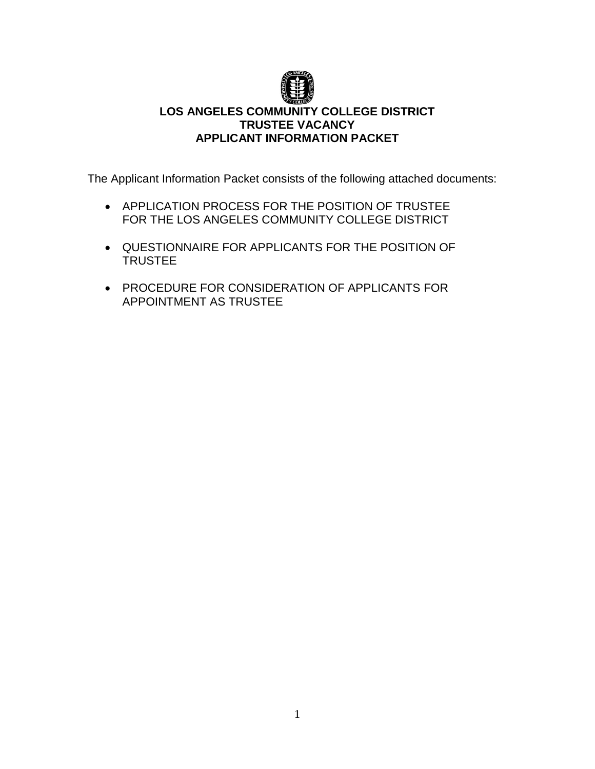

# **LOS ANGELES COMMUNITY COLLEGE DISTRICT TRUSTEE VACANCY APPLICANT INFORMATION PACKET**

The Applicant Information Packet consists of the following attached documents:

- **APPLICATION PROCESS FOR THE POSITION OF TRUSTEE** FOR THE LOS ANGELES COMMUNITY COLLEGE DISTRICT
- QUESTIONNAIRE FOR APPLICANTS FOR THE POSITION OF **TRUSTEE**
- PROCEDURE FOR CONSIDERATION OF APPLICANTS FOR APPOINTMENT AS TRUSTEE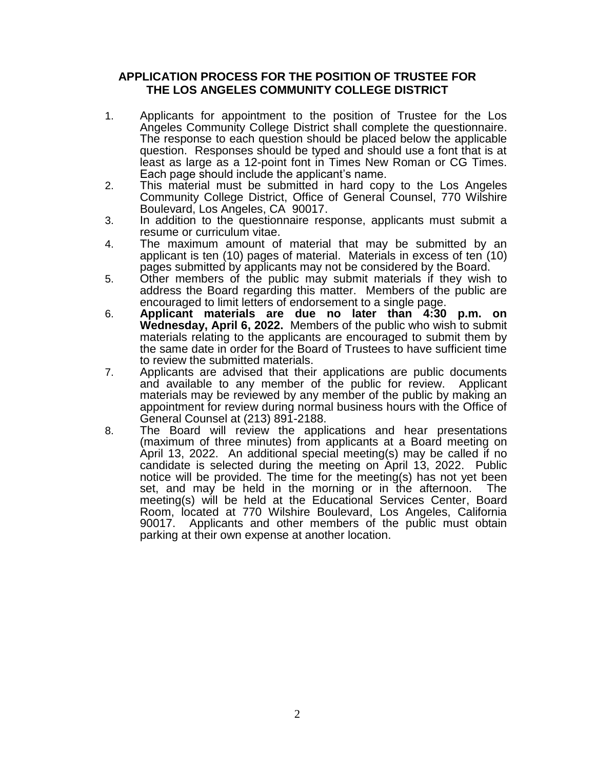#### **APPLICATION PROCESS FOR THE POSITION OF TRUSTEE FOR THE LOS ANGELES COMMUNITY COLLEGE DISTRICT**

- 1. Applicants for appointment to the position of Trustee for the Los Angeles Community College District shall complete the questionnaire. The response to each question should be placed below the applicable question. Responses should be typed and should use a font that is at least as large as a 12-point font in Times New Roman or CG Times. Each page should include the applicant's name.
- 2. This material must be submitted in hard copy to the Los Angeles Community College District, Office of General Counsel, 770 Wilshire Boulevard, Los Angeles, CA 90017.
- 3. In addition to the questionnaire response, applicants must submit a resume or curriculum vitae.
- 4. The maximum amount of material that may be submitted by an applicant is ten (10) pages of material. Materials in excess of ten (10) pages submitted by applicants may not be considered by the Board.
- 5. Other members of the public may submit materials if they wish to address the Board regarding this matter. Members of the public are encouraged to limit letters of endorsement to a single page.
- 6. **Applicant materials are due no later than 4:30 p.m. on Wednesday, April 6, 2022.** Members of the public who wish to submit materials relating to the applicants are encouraged to submit them by the same date in order for the Board of Trustees to have sufficient time to review the submitted materials.
- 7. Applicants are advised that their applications are public documents and available to any member of the public for review. Applicant materials may be reviewed by any member of the public by making an appointment for review during normal business hours with the Office of General Counsel at (213) 891-2188.
- 8. The Board will review the applications and hear presentations (maximum of three minutes) from applicants at a Board meeting on April 13, 2022. An additional special meeting(s) may be called if no candidate is selected during the meeting on April 13, 2022. Public notice will be provided. The time for the meeting(s) has not yet been set, and may be held in the morning or in the afternoon. The meeting(s) will be held at the Educational Services Center, Board Room, located at 770 Wilshire Boulevard, Los Angeles, California 90017. Applicants and other members of the public must obtain parking at their own expense at another location.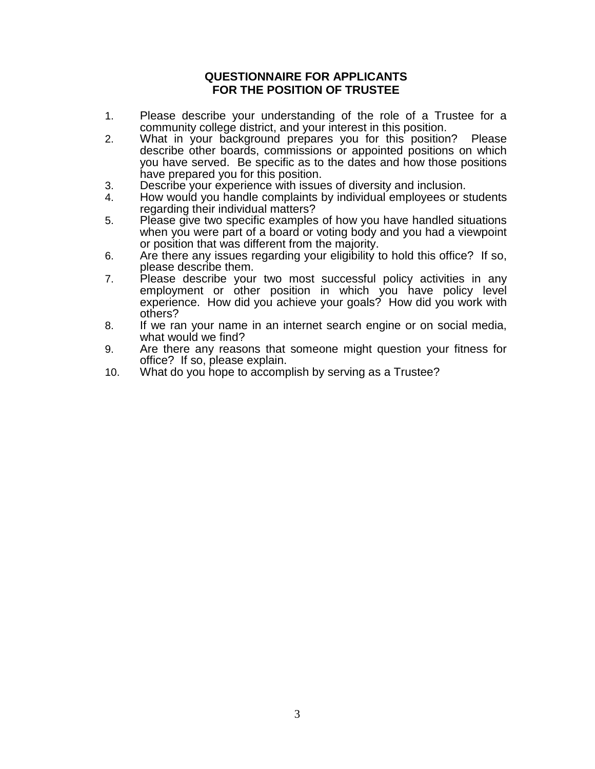## **QUESTIONNAIRE FOR APPLICANTS FOR THE POSITION OF TRUSTEE**

- 1. Please describe your understanding of the role of a Trustee for a community college district, and your interest in this position.
- 2. What in your background prepares you for this position? Please describe other boards, commissions or appointed positions on which you have served. Be specific as to the dates and how those positions have prepared you for this position.
- 3. Describe your experience with issues of diversity and inclusion.
- 4. How would you handle complaints by individual employees or students regarding their individual matters?
- 5. Please give two specific examples of how you have handled situations when you were part of a board or voting body and you had a viewpoint or position that was different from the majority.
- 6. Are there any issues regarding your eligibility to hold this office? If so, please describe them.
- 7. Please describe your two most successful policy activities in any employment or other position in which you have policy level experience. How did you achieve your goals? How did you work with others?
- 8. If we ran your name in an internet search engine or on social media, what would we find?
- 9. Are there any reasons that someone might question your fitness for office? If so, please explain.
- 10. What do you hope to accomplish by serving as a Trustee?